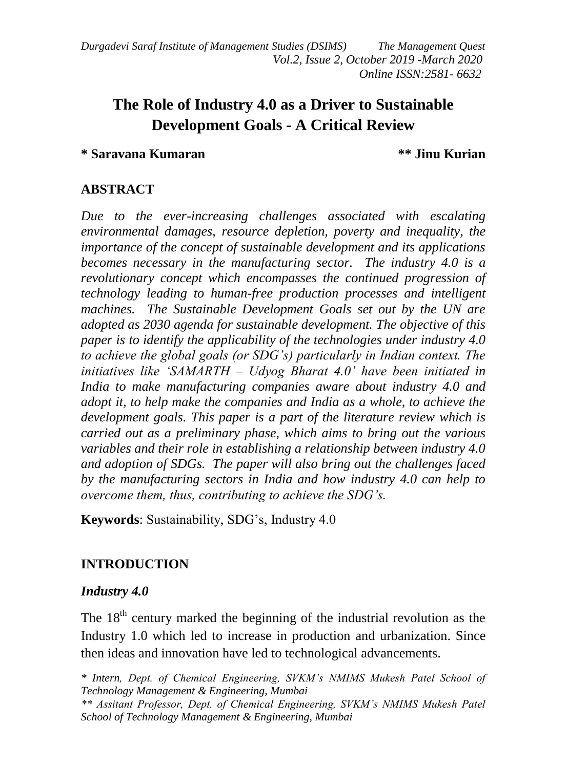*Durgadevi Saraf Institute of Management Studies (DSIMS) The Management Quest Vol.2, Issue 2, October 2019 -March 2020 Online ISSN:2581- 6632*

# **The Role of Industry 4.0 as a Driver to Sustainable Development Goals - A Critical Review**

## **\* Saravana Kumaran \*\* Jinu Kurian**

## **ABSTRACT**

*Due to the ever-increasing challenges associated with escalating environmental damages, resource depletion, poverty and inequality, the importance of the concept of sustainable development and its applications becomes necessary in the manufacturing sector. The industry 4.0 is a revolutionary concept which encompasses the continued progression of technology leading to human-free production processes and intelligent machines. The Sustainable Development Goals set out by the UN are adopted as 2030 agenda for sustainable development. The objective of this paper is to identify the applicability of the technologies under industry 4.0 to achieve the global goals (or SDG's) particularly in Indian context. The initiatives like 'SAMARTH – Udyog Bharat 4.0' have been initiated in India to make manufacturing companies aware about industry 4.0 and adopt it, to help make the companies and India as a whole, to achieve the development goals. This paper is a part of the literature review which is carried out as a preliminary phase, which aims to bring out the various variables and their role in establishing a relationship between industry 4.0 and adoption of SDGs. The paper will also bring out the challenges faced by the manufacturing sectors in India and how industry 4.0 can help to overcome them, thus, contributing to achieve the SDG's.*

**Keywords**: Sustainability, SDG's, Industry 4.0

## **INTRODUCTION**

### *Industry 4.0*

The  $18<sup>th</sup>$  century marked the beginning of the industrial revolution as the Industry 1.0 which led to increase in production and urbanization. Since then ideas and innovation have led to technological advancements.

*\* Intern, Dept. of Chemical Engineering, SVKM's NMIMS Mukesh Patel School of Technology Management & Engineering, Mumbai*

*\*\* Assitant Professor, Dept. of Chemical Engineering, SVKM's NMIMS Mukesh Patel School of Technology Management & Engineering, Mumbai*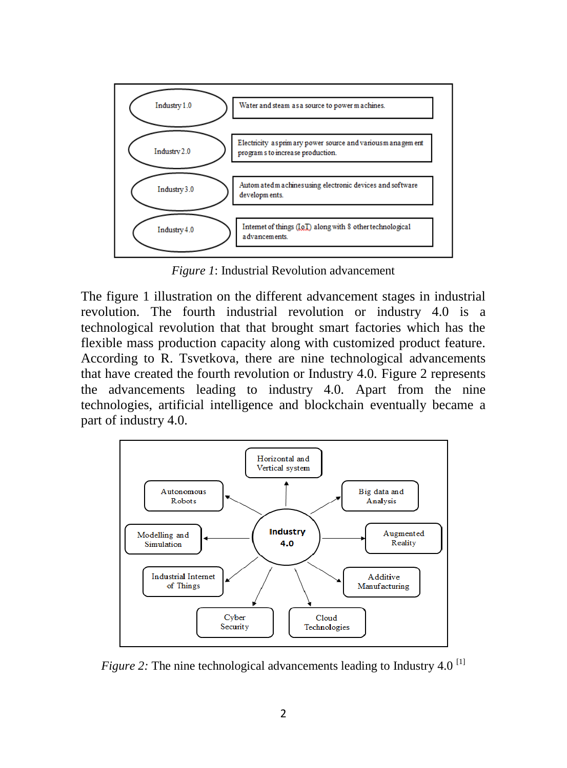

*Figure 1*: Industrial Revolution advancement

The figure 1 illustration on the different advancement stages in industrial revolution. The fourth industrial revolution or industry 4.0 is a technological revolution that that brought smart factories which has the flexible mass production capacity along with customized product feature. According to R. Tsvetkova, there are nine technological advancements that have created the fourth revolution or Industry 4.0. Figure 2 represents the advancements leading to industry 4.0. Apart from the nine technologies, artificial intelligence and blockchain eventually became a part of industry 4.0.



*Figure 2:* The nine technological advancements leading to Industry 4.0<sup>[1]</sup>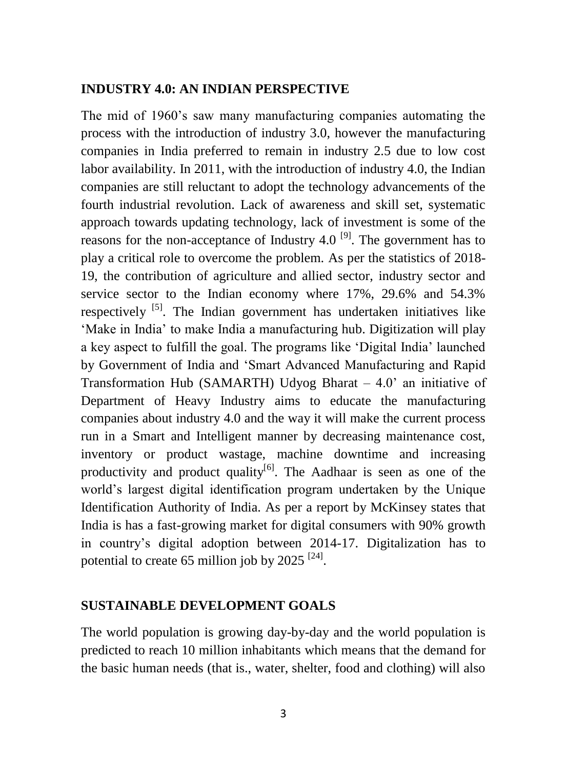#### **INDUSTRY 4.0: AN INDIAN PERSPECTIVE**

The mid of 1960's saw many manufacturing companies automating the process with the introduction of industry 3.0, however the manufacturing companies in India preferred to remain in industry 2.5 due to low cost labor availability. In 2011, with the introduction of industry 4.0, the Indian companies are still reluctant to adopt the technology advancements of the fourth industrial revolution. Lack of awareness and skill set, systematic approach towards updating technology, lack of investment is some of the reasons for the non-acceptance of Industry 4.0  $^{[9]}$ . The government has to play a critical role to overcome the problem. As per the statistics of 2018- 19, the contribution of agriculture and allied sector, industry sector and service sector to the Indian economy where 17%, 29.6% and 54.3% respectively  $[5]$ . The Indian government has undertaken initiatives like 'Make in India' to make India a manufacturing hub. Digitization will play a key aspect to fulfill the goal. The programs like 'Digital India' launched by Government of India and 'Smart Advanced Manufacturing and Rapid Transformation Hub (SAMARTH) Udyog Bharat – 4.0' an initiative of Department of Heavy Industry aims to educate the manufacturing companies about industry 4.0 and the way it will make the current process run in a Smart and Intelligent manner by decreasing maintenance cost, inventory or product wastage, machine downtime and increasing productivity and product quality<sup>[6]</sup>. The Aadhaar is seen as one of the world's largest digital identification program undertaken by the Unique Identification Authority of India. As per a report by McKinsey states that India is has a fast-growing market for digital consumers with 90% growth in country's digital adoption between 2014-17. Digitalization has to potential to create 65 million job by 2025<sup>[24]</sup>.

#### **SUSTAINABLE DEVELOPMENT GOALS**

The world population is growing day-by-day and the world population is predicted to reach 10 million inhabitants which means that the demand for the basic human needs (that is., water, shelter, food and clothing) will also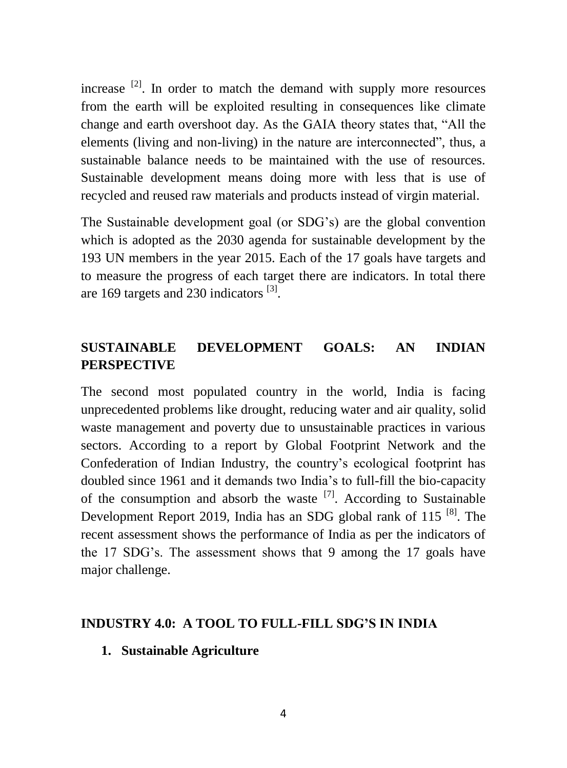increase <sup>[2]</sup>. In order to match the demand with supply more resources from the earth will be exploited resulting in consequences like climate change and earth overshoot day. As the GAIA theory states that, "All the elements (living and non-living) in the nature are interconnected", thus, a sustainable balance needs to be maintained with the use of resources. Sustainable development means doing more with less that is use of recycled and reused raw materials and products instead of virgin material.

The Sustainable development goal (or SDG's) are the global convention which is adopted as the 2030 agenda for sustainable development by the 193 UN members in the year 2015. Each of the 17 goals have targets and to measure the progress of each target there are indicators. In total there are 169 targets and 230 indicators  $^{[3]}$ .

## **SUSTAINABLE DEVELOPMENT GOALS: AN INDIAN PERSPECTIVE**

The second most populated country in the world, India is facing unprecedented problems like drought, reducing water and air quality, solid waste management and poverty due to unsustainable practices in various sectors. According to a report by Global Footprint Network and the Confederation of Indian Industry, the country's ecological footprint has doubled since 1961 and it demands two India's to full-fill the bio-capacity of the consumption and absorb the waste  $^{[7]}$ . According to Sustainable Development Report 2019, India has an SDG global rank of 115<sup>[8]</sup>. The recent assessment shows the performance of India as per the indicators of the 17 SDG's. The assessment shows that 9 among the 17 goals have major challenge.

#### **INDUSTRY 4.0: A TOOL TO FULL-FILL SDG'S IN INDIA**

**1. Sustainable Agriculture**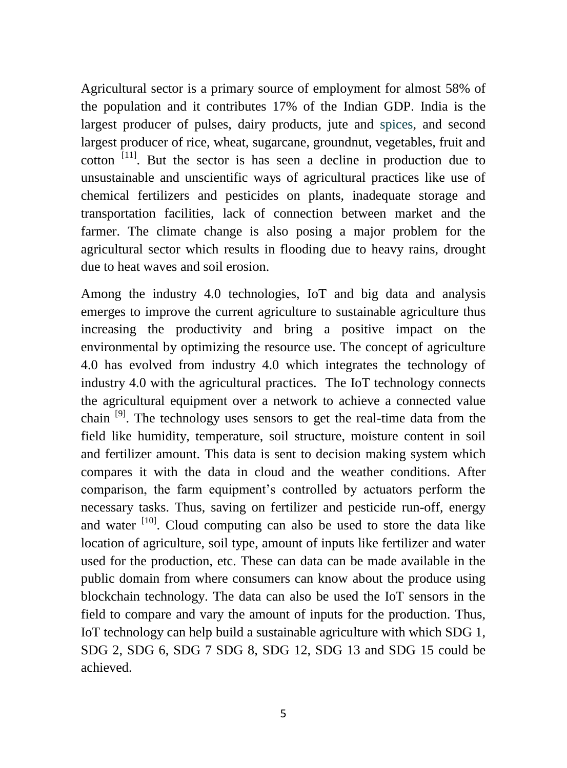Agricultural sector is a primary source of employment for almost 58% of the population and it contributes 17% of the Indian GDP. India is the largest producer of pulses, dairy products, jute and spices, and second largest producer of rice, wheat, sugarcane, groundnut, vegetables, fruit and cotton  $[11]$ . But the sector is has seen a decline in production due to unsustainable and unscientific ways of agricultural practices like use of chemical fertilizers and pesticides on plants, inadequate storage and transportation facilities, lack of connection between market and the farmer. The climate change is also posing a major problem for the agricultural sector which results in flooding due to heavy rains, drought due to heat waves and soil erosion.

Among the industry 4.0 technologies, IoT and big data and analysis emerges to improve the current agriculture to sustainable agriculture thus increasing the productivity and bring a positive impact on the environmental by optimizing the resource use. The concept of agriculture 4.0 has evolved from industry 4.0 which integrates the technology of industry 4.0 with the agricultural practices. The IoT technology connects the agricultural equipment over a network to achieve a connected value chain [9]. The technology uses sensors to get the real-time data from the field like humidity, temperature, soil structure, moisture content in soil and fertilizer amount. This data is sent to decision making system which compares it with the data in cloud and the weather conditions. After comparison, the farm equipment's controlled by actuators perform the necessary tasks. Thus, saving on fertilizer and pesticide run-off, energy and water  $\left[10\right]$ . Cloud computing can also be used to store the data like location of agriculture, soil type, amount of inputs like fertilizer and water used for the production, etc. These can data can be made available in the public domain from where consumers can know about the produce using blockchain technology. The data can also be used the IoT sensors in the field to compare and vary the amount of inputs for the production. Thus, IoT technology can help build a sustainable agriculture with which SDG 1, SDG 2, SDG 6, SDG 7 SDG 8, SDG 12, SDG 13 and SDG 15 could be achieved.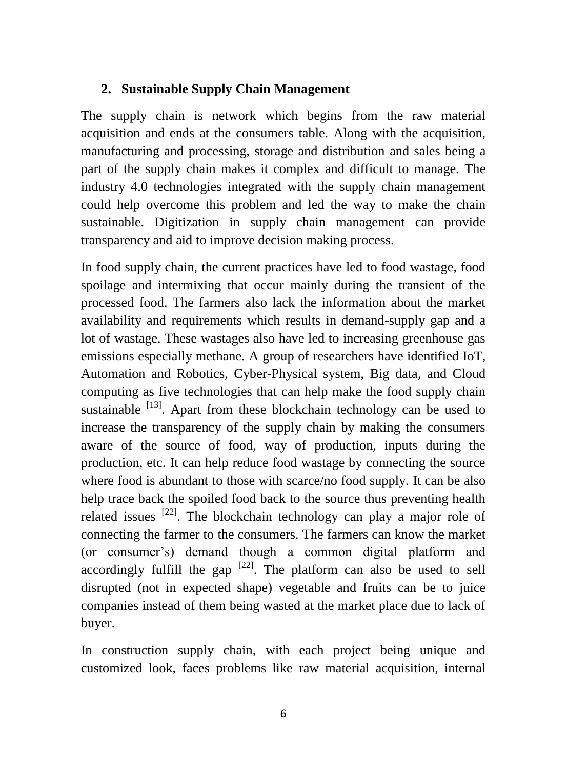## **2. Sustainable Supply Chain Management**

The supply chain is network which begins from the raw material acquisition and ends at the consumers table. Along with the acquisition, manufacturing and processing, storage and distribution and sales being a part of the supply chain makes it complex and difficult to manage. The industry 4.0 technologies integrated with the supply chain management could help overcome this problem and led the way to make the chain sustainable. Digitization in supply chain management can provide transparency and aid to improve decision making process.

In food supply chain, the current practices have led to food wastage, food spoilage and intermixing that occur mainly during the transient of the processed food. The farmers also lack the information about the market availability and requirements which results in demand-supply gap and a lot of wastage. These wastages also have led to increasing greenhouse gas emissions especially methane. A group of researchers have identified IoT, Automation and Robotics, Cyber-Physical system, Big data, and Cloud computing as five technologies that can help make the food supply chain sustainable  $^{[13]}$ . Apart from these blockchain technology can be used to increase the transparency of the supply chain by making the consumers aware of the source of food, way of production, inputs during the production, etc. It can help reduce food wastage by connecting the source where food is abundant to those with scarce/no food supply. It can be also help trace back the spoiled food back to the source thus preventing health related issues  $[22]$ . The blockchain technology can play a major role of connecting the farmer to the consumers. The farmers can know the market (or consumer's) demand though a common digital platform and accordingly fulfill the gap  $^{[22]}$ . The platform can also be used to sell disrupted (not in expected shape) vegetable and fruits can be to juice companies instead of them being wasted at the market place due to lack of buyer.

In construction supply chain, with each project being unique and customized look, faces problems like raw material acquisition, internal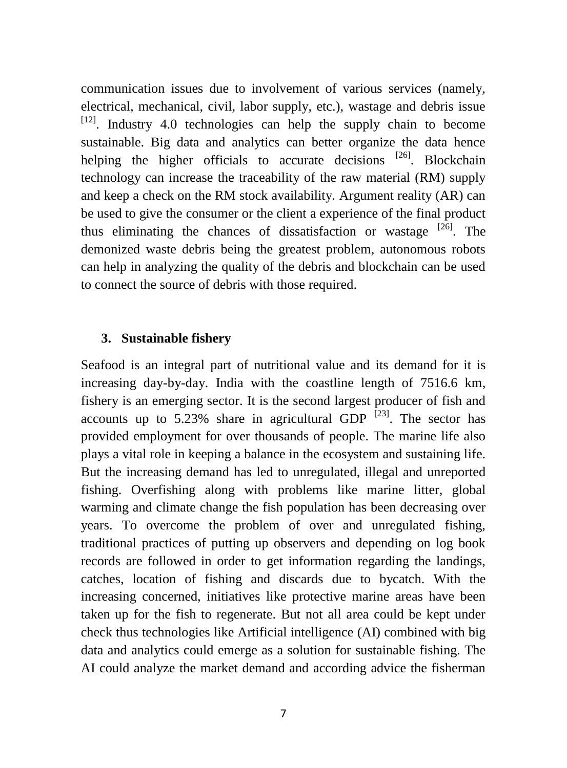communication issues due to involvement of various services (namely, electrical, mechanical, civil, labor supply, etc.), wastage and debris issue  $[12]$ . Industry 4.0 technologies can help the supply chain to become sustainable. Big data and analytics can better organize the data hence helping the higher officials to accurate decisions  $[26]$ . Blockchain technology can increase the traceability of the raw material (RM) supply and keep a check on the RM stock availability. Argument reality (AR) can be used to give the consumer or the client a experience of the final product thus eliminating the chances of dissatisfaction or wastage <sup>[26]</sup>. The demonized waste debris being the greatest problem, autonomous robots can help in analyzing the quality of the debris and blockchain can be used to connect the source of debris with those required.

#### **3. Sustainable fishery**

Seafood is an integral part of nutritional value and its demand for it is increasing day-by-day. India with the coastline length of 7516.6 km, fishery is an emerging sector. It is the second largest producer of fish and accounts up to 5.23% share in agricultural GDP  $^{[23]}$ . The sector has provided employment for over thousands of people. The marine life also plays a vital role in keeping a balance in the ecosystem and sustaining life. But the increasing demand has led to unregulated, illegal and unreported fishing. Overfishing along with problems like marine litter, global warming and climate change the fish population has been decreasing over years. To overcome the problem of over and unregulated fishing, traditional practices of putting up observers and depending on log book records are followed in order to get information regarding the landings, catches, location of fishing and discards due to bycatch. With the increasing concerned, initiatives like protective marine areas have been taken up for the fish to regenerate. But not all area could be kept under check thus technologies like Artificial intelligence (AI) combined with big data and analytics could emerge as a solution for sustainable fishing. The AI could analyze the market demand and according advice the fisherman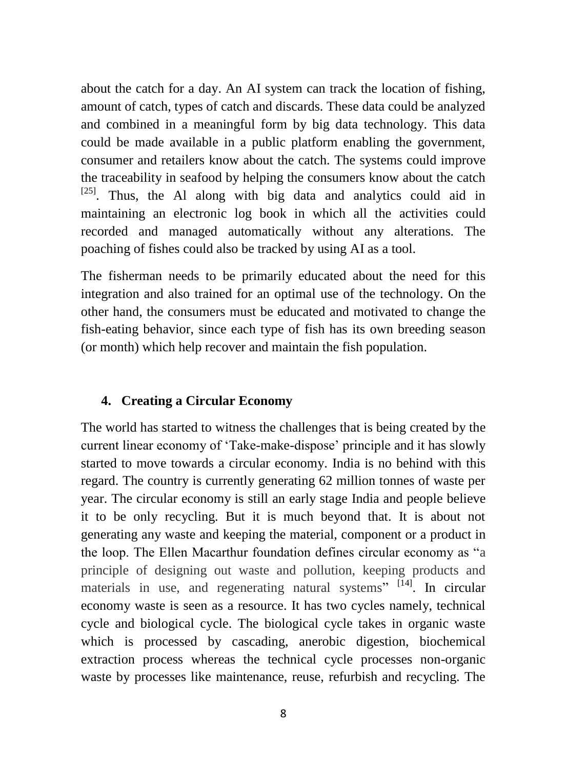about the catch for a day. An AI system can track the location of fishing, amount of catch, types of catch and discards. These data could be analyzed and combined in a meaningful form by big data technology. This data could be made available in a public platform enabling the government, consumer and retailers know about the catch. The systems could improve the traceability in seafood by helping the consumers know about the catch  $[25]$ . Thus, the Al along with big data and analytics could aid in maintaining an electronic log book in which all the activities could recorded and managed automatically without any alterations. The poaching of fishes could also be tracked by using AI as a tool.

The fisherman needs to be primarily educated about the need for this integration and also trained for an optimal use of the technology. On the other hand, the consumers must be educated and motivated to change the fish-eating behavior, since each type of fish has its own breeding season (or month) which help recover and maintain the fish population.

## **4. Creating a Circular Economy**

The world has started to witness the challenges that is being created by the current linear economy of 'Take-make-dispose' principle and it has slowly started to move towards a circular economy. India is no behind with this regard. The country is currently generating 62 million tonnes of waste per year. The circular economy is still an early stage India and people believe it to be only recycling. But it is much beyond that. It is about not generating any waste and keeping the material, component or a product in the loop. The Ellen Macarthur foundation defines circular economy as "a principle of designing out waste and pollution, keeping products and materials in use, and regenerating natural systems" <sup>[14]</sup>. In circular economy waste is seen as a resource. It has two cycles namely, technical cycle and biological cycle. The biological cycle takes in organic waste which is processed by cascading, anerobic digestion, biochemical extraction process whereas the technical cycle processes non-organic waste by processes like maintenance, reuse, refurbish and recycling. The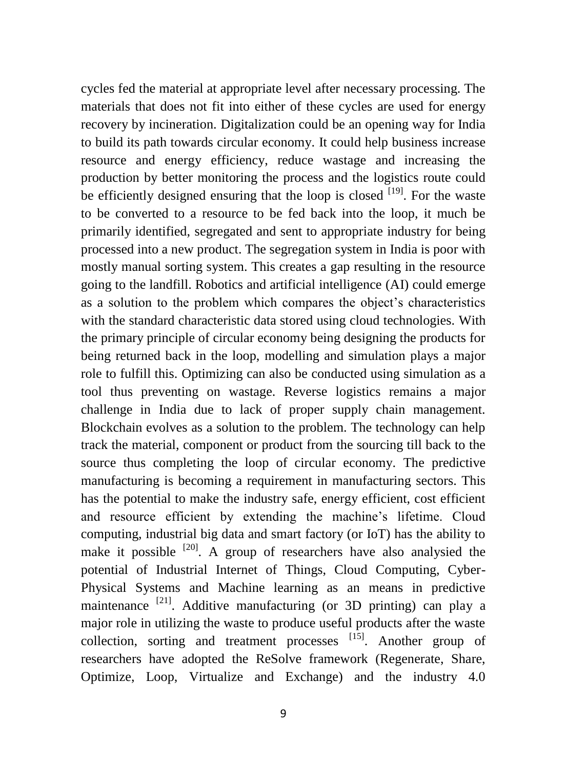cycles fed the material at appropriate level after necessary processing. The materials that does not fit into either of these cycles are used for energy recovery by incineration. Digitalization could be an opening way for India to build its path towards circular economy. It could help business increase resource and energy efficiency, reduce wastage and increasing the production by better monitoring the process and the logistics route could be efficiently designed ensuring that the loop is closed  $[19]$ . For the waste to be converted to a resource to be fed back into the loop, it much be primarily identified, segregated and sent to appropriate industry for being processed into a new product. The segregation system in India is poor with mostly manual sorting system. This creates a gap resulting in the resource going to the landfill. Robotics and artificial intelligence (AI) could emerge as a solution to the problem which compares the object's characteristics with the standard characteristic data stored using cloud technologies. With the primary principle of circular economy being designing the products for being returned back in the loop, modelling and simulation plays a major role to fulfill this. Optimizing can also be conducted using simulation as a tool thus preventing on wastage. Reverse logistics remains a major challenge in India due to lack of proper supply chain management. Blockchain evolves as a solution to the problem. The technology can help track the material, component or product from the sourcing till back to the source thus completing the loop of circular economy. The predictive manufacturing is becoming a requirement in manufacturing sectors. This has the potential to make the industry safe, energy efficient, cost efficient and resource efficient by extending the machine's lifetime. Cloud computing, industrial big data and smart factory (or IoT) has the ability to make it possible  $[20]$ . A group of researchers have also analysied the potential of Industrial Internet of Things, Cloud Computing, Cyber-Physical Systems and Machine learning as an means in predictive maintenance <sup>[21]</sup>. Additive manufacturing (or 3D printing) can play a major role in utilizing the waste to produce useful products after the waste collection, sorting and treatment processes [15]. Another group of researchers have adopted the ReSolve framework (Regenerate, Share, Optimize, Loop, Virtualize and Exchange) and the industry 4.0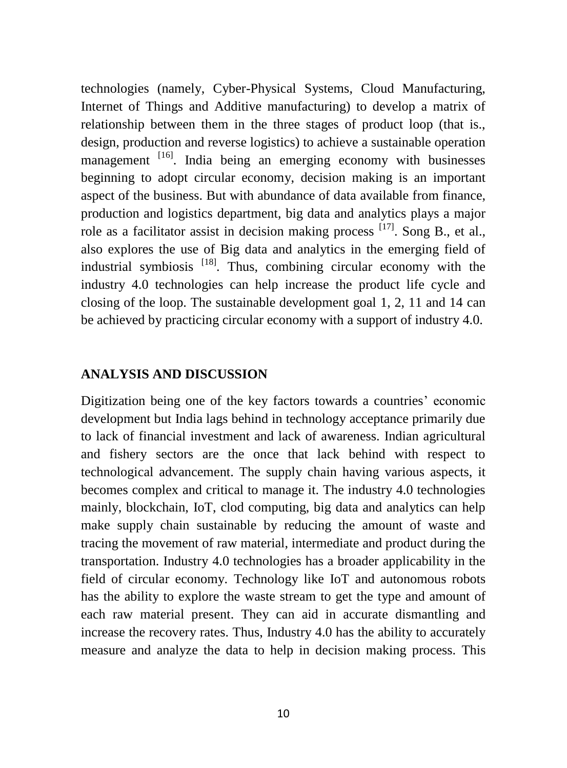technologies (namely, Cyber-Physical Systems, Cloud Manufacturing, Internet of Things and Additive manufacturing) to develop a matrix of relationship between them in the three stages of product loop (that is., design, production and reverse logistics) to achieve a sustainable operation management <sup>[16]</sup>. India being an emerging economy with businesses beginning to adopt circular economy, decision making is an important aspect of the business. But with abundance of data available from finance, production and logistics department, big data and analytics plays a major role as a facilitator assist in decision making process  $^{[17]}$ . Song B., et al., also explores the use of Big data and analytics in the emerging field of industrial symbiosis <sup>[18]</sup>. Thus, combining circular economy with the industry 4.0 technologies can help increase the product life cycle and closing of the loop. The sustainable development goal 1, 2, 11 and 14 can be achieved by practicing circular economy with a support of industry 4.0.

#### **ANALYSIS AND DISCUSSION**

Digitization being one of the key factors towards a countries' economic development but India lags behind in technology acceptance primarily due to lack of financial investment and lack of awareness. Indian agricultural and fishery sectors are the once that lack behind with respect to technological advancement. The supply chain having various aspects, it becomes complex and critical to manage it. The industry 4.0 technologies mainly, blockchain, IoT, clod computing, big data and analytics can help make supply chain sustainable by reducing the amount of waste and tracing the movement of raw material, intermediate and product during the transportation. Industry 4.0 technologies has a broader applicability in the field of circular economy. Technology like IoT and autonomous robots has the ability to explore the waste stream to get the type and amount of each raw material present. They can aid in accurate dismantling and increase the recovery rates. Thus, Industry 4.0 has the ability to accurately measure and analyze the data to help in decision making process. This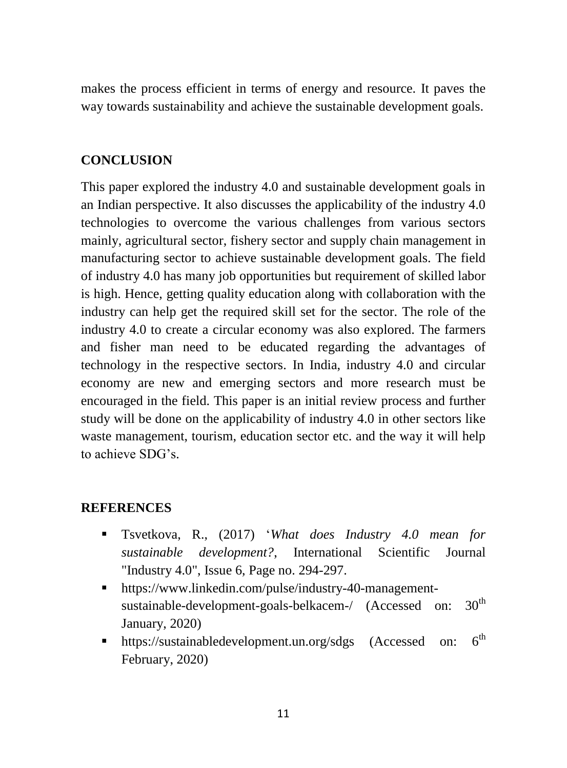makes the process efficient in terms of energy and resource. It paves the way towards sustainability and achieve the sustainable development goals.

## **CONCLUSION**

This paper explored the industry 4.0 and sustainable development goals in an Indian perspective. It also discusses the applicability of the industry 4.0 technologies to overcome the various challenges from various sectors mainly, agricultural sector, fishery sector and supply chain management in manufacturing sector to achieve sustainable development goals. The field of industry 4.0 has many job opportunities but requirement of skilled labor is high. Hence, getting quality education along with collaboration with the industry can help get the required skill set for the sector. The role of the industry 4.0 to create a circular economy was also explored. The farmers and fisher man need to be educated regarding the advantages of technology in the respective sectors. In India, industry 4.0 and circular economy are new and emerging sectors and more research must be encouraged in the field. This paper is an initial review process and further study will be done on the applicability of industry 4.0 in other sectors like waste management, tourism, education sector etc. and the way it will help to achieve SDG's.

#### **REFERENCES**

- Tsvetkova, R., (2017) '*What does Industry 4.0 mean for sustainable development?*, International Scientific Journal "Industry 4.0", Issue 6, Page no. 294-297.
- [https://www.linkedin.com/pulse/industry-40-management](https://www.linkedin.com/pulse/industry-40-management-sustainable-development-goals-belkacem-/)[sustainable-development-goals-belkacem-/](https://www.linkedin.com/pulse/industry-40-management-sustainable-development-goals-belkacem-/) (Accessed on: 30<sup>th</sup> January, 2020)
- <https://sustainabledevelopment.un.org/sdgs> (Accessed on:  $6<sup>th</sup>$ February, 2020)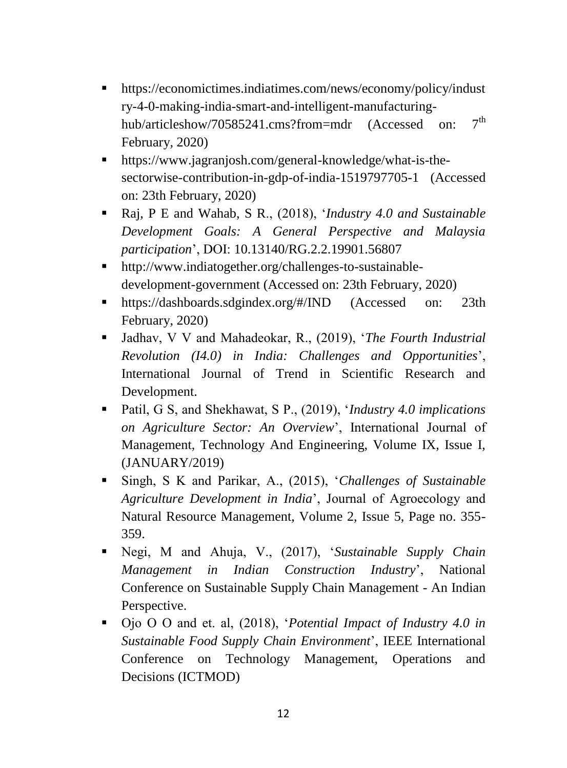- [https://economictimes.indiatimes.com/news/economy/policy/indust](https://economictimes.indiatimes.com/news/economy/policy/industry-4-0-making-india-smart-and-intelligent-manufacturing-hub/articleshow/70585241.cms?from=mdr) [ry-4-0-making-india-smart-and-intelligent-manufacturing](https://economictimes.indiatimes.com/news/economy/policy/industry-4-0-making-india-smart-and-intelligent-manufacturing-hub/articleshow/70585241.cms?from=mdr)[hub/articleshow/70585241.cms?from=mdr](https://economictimes.indiatimes.com/news/economy/policy/industry-4-0-making-india-smart-and-intelligent-manufacturing-hub/articleshow/70585241.cms?from=mdr) (Accessed on:  $7<sup>th</sup>$ February, 2020)
- [https://www.jagranjosh.com/general-knowledge/what-is-the](https://www.jagranjosh.com/general-knowledge/what-is-the-sectorwise-contribution-in-gdp-of-india-1519797705-1)[sectorwise-contribution-in-gdp-of-india-1519797705-1](https://www.jagranjosh.com/general-knowledge/what-is-the-sectorwise-contribution-in-gdp-of-india-1519797705-1) (Accessed on: 23th February, 2020)
- Raj, P E and Wahab, S R., (2018), '*Industry 4.0 and Sustainable Development Goals: A General Perspective and Malaysia participation*', DOI: [10.13140/RG.2.2.19901.56807](https://www.researchgate.net/deref/http%3A%2F%2Fdx.doi.org%2F10.13140%2FRG.2.2.19901.56807)
- [http://www.indiatogether.org/challenges-to-sustainable](http://www.indiatogether.org/challenges-to-sustainable-development-government)[development-government](http://www.indiatogether.org/challenges-to-sustainable-development-government) (Accessed on: 23th February, 2020)
- <https://dashboards.sdgindex.org/#/IND> (Accessed on: 23th February, 2020)
- Jadhav, V V and Mahadeokar, R., (2019), '*The Fourth Industrial Revolution (I4.0) in India: Challenges and Opportunities*', International Journal of Trend in Scientific Research and Development.
- Patil, G S, and Shekhawat, S P., (2019), '*Industry 4.0 implications on Agriculture Sector: An Overview*', International Journal of Management, Technology And Engineering, Volume IX, Issue I, (JANUARY/2019)
- Singh, S K and Parikar, A., (2015), '*Challenges of Sustainable Agriculture Development in India*', Journal of Agroecology and Natural Resource Management, Volume 2, Issue 5, Page no. 355- 359.
- Negi, M and Ahuja, V., (2017), '*Sustainable Supply Chain Management in Indian Construction Industry*', National Conference on Sustainable Supply Chain Management - An Indian Perspective.
- Ojo O O and et. al, (2018), '*Potential Impact of Industry 4.0 in Sustainable Food Supply Chain Environment*', IEEE International Conference on Technology Management, Operations and Decisions (ICTMOD)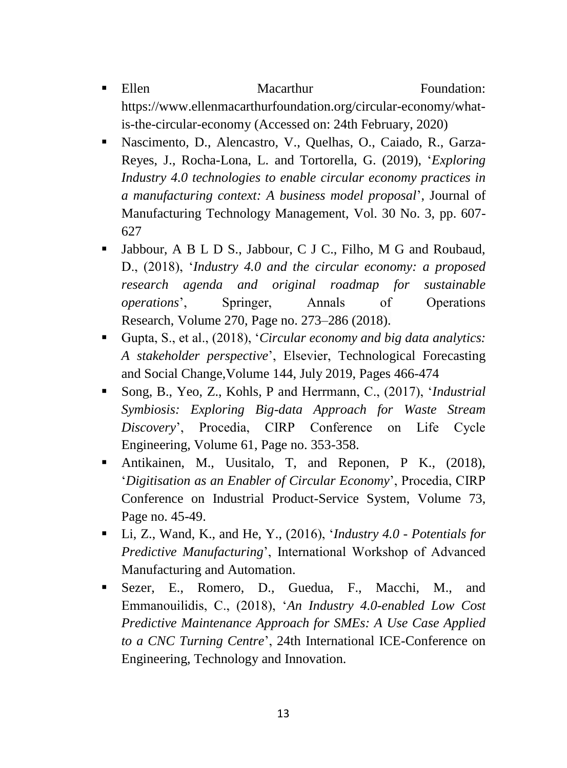- Ellen Macarthur Foundation: [https://www.ellenmacarthurfoundation.org/circular-economy/what](https://www.ellenmacarthurfoundation.org/circular-economy/what-is-the-circular-economy)[is-the-circular-economy](https://www.ellenmacarthurfoundation.org/circular-economy/what-is-the-circular-economy) (Accessed on: 24th February, 2020)
- [Nascimento, D.,](https://www.emerald.com/insight/search?q=Daniel%20Luiz%20Mattos%20Nascimento) [Alencastro, V.,](https://www.emerald.com/insight/search?q=Viviam%20Alencastro) [Quelhas, O.,](https://www.emerald.com/insight/search?q=Osvaldo%20Luiz%20Gonçalves%20Quelhas) [Caiado, R.,](https://www.emerald.com/insight/search?q=Rodrigo%20Goyannes%20Gusmão%20Caiado) [Garza-](https://www.emerald.com/insight/search?q=Jose%20Arturo%20Garza-Reyes)[Reyes, J.,](https://www.emerald.com/insight/search?q=Jose%20Arturo%20Garza-Reyes) [Rocha-Lona, L.](https://www.emerald.com/insight/search?q=Luis%20Rocha-Lona) and [Tortorella, G.](https://www.emerald.com/insight/search?q=Guilherme%20Tortorella) (2019), '*Exploring Industry 4.0 technologies to enable circular economy practices in a manufacturing context: A business model proposal*', [Journal of](https://www.emerald.com/insight/publication/issn/1741-038X)  [Manufacturing Technology Management,](https://www.emerald.com/insight/publication/issn/1741-038X) Vol. 30 No. 3, pp. 607- 627
- Jabbour, A B L D S., Jabbour, C J C., Filho, M G and Roubaud, D., (2018), '*Industry 4.0 and the circular economy: a proposed research agenda and original roadmap for sustainable operations*', Springer, Annals of Operations Research, Volume 270, Page no. 273–286 (2018).
- Gupta, S., et al., (2018), '*Circular economy and big data analytics: A stakeholder perspective*', Elsevier, Technological Forecasting and Social Change[,Volume 144,](https://www.sciencedirect.com/science/journal/00401625/144/supp/C) July 2019, Pages 466-474
- Song, B., Yeo, Z., Kohls, P and Herrmann, C., (2017), '*Industrial Symbiosis: Exploring Big-data Approach for Waste Stream Discovery*', Procedia, CIRP Conference on Life Cycle Engineering, Volume 61, Page no. 353-358.
- Antikainen, M., Uusitalo, T, and Reponen, P K., (2018), '*Digitisation as an Enabler of Circular Economy*', Procedia, CIRP Conference on Industrial Product-Service System, Volume 73, Page no. 45-49.
- Li, Z., Wand, K., and He, Y., (2016), '*Industry 4.0 Potentials for Predictive Manufacturing*', International Workshop of Advanced Manufacturing and Automation.
- Sezer, E., Romero, D., Guedua, F., Macchi, M., and Emmanouilidis, C., (2018), '*An Industry 4.0-enabled Low Cost Predictive Maintenance Approach for SMEs: A Use Case Applied to a CNC Turning Centre*', 24th International ICE-Conference on Engineering, Technology and Innovation.